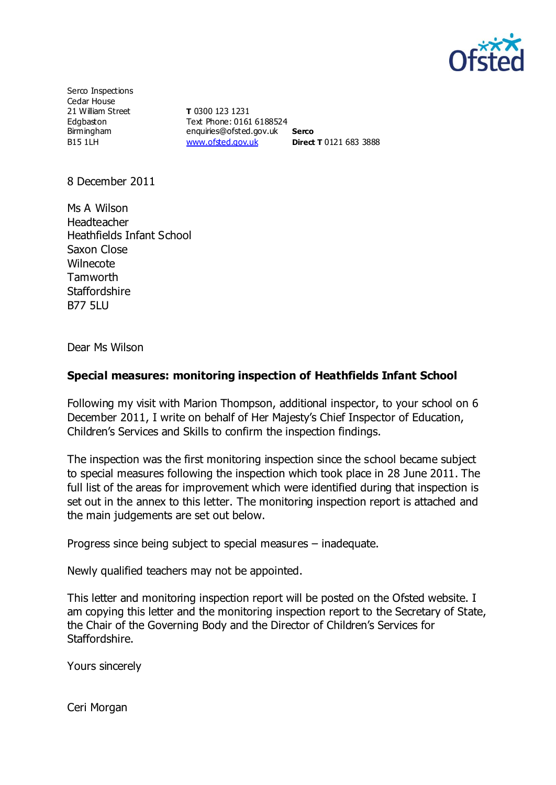

Serco Inspections Cedar House 21 William Street Edgbaston Birmingham B15 1LH

**T** 0300 123 1231 Text Phone: 0161 6188524 enquiries@ofsted.gov.uk **Serco** [www.ofsted.gov.uk](http://www.ofsted.gov.uk/) **Direct T** 0121 683 3888

8 December 2011

Ms A Wilson Headteacher Heathfields Infant School Saxon Close **Wilnecote Tamworth Staffordshire** B77 5LU

Dear Ms Wilson

### **Special measures: monitoring inspection of Heathfields Infant School**

Following my visit with Marion Thompson, additional inspector, to your school on 6 December 2011, I write on behalf of Her Majesty's Chief Inspector of Education, Children's Services and Skills to confirm the inspection findings.

The inspection was the first monitoring inspection since the school became subject to special measures following the inspection which took place in 28 June 2011. The full list of the areas for improvement which were identified during that inspection is set out in the annex to this letter. The monitoring inspection report is attached and the main judgements are set out below.

Progress since being subject to special measures – inadequate.

Newly qualified teachers may not be appointed.

This letter and monitoring inspection report will be posted on the Ofsted website. I am copying this letter and the monitoring inspection report to the Secretary of State, the Chair of the Governing Body and the Director of Children's Services for Staffordshire.

Yours sincerely

Ceri Morgan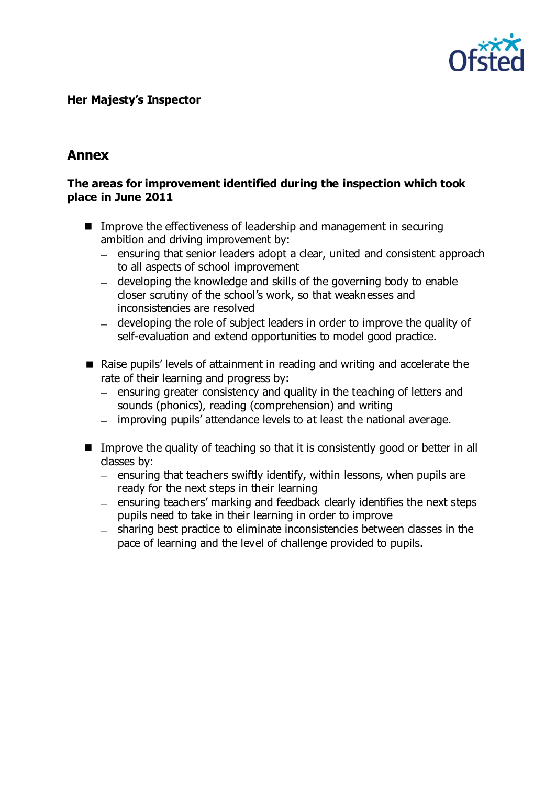

### **Her Majesty's Inspector**

# **Annex**

#### **The areas for improvement identified during the inspection which took place in June 2011**

- Improve the effectiveness of leadership and management in securing ambition and driving improvement by:
	- ensuring that senior leaders adopt a clear, united and consistent approach to all aspects of school improvement
	- developing the knowledge and skills of the governing body to enable closer scrutiny of the school's work, so that weaknesses and inconsistencies are resolved
	- developing the role of subject leaders in order to improve the quality of self-evaluation and extend opportunities to model good practice.
- Raise pupils' levels of attainment in reading and writing and accelerate the rate of their learning and progress by:
	- $\overline{a}$  ensuring greater consistency and quality in the teaching of letters and sounds (phonics), reading (comprehension) and writing
	- improving pupils' attendance levels to at least the national average.
- Improve the quality of teaching so that it is consistently good or better in all classes by:
	- $-$  ensuring that teachers swiftly identify, within lessons, when pupils are ready for the next steps in their learning
	- ensuring teachers' marking and feedback clearly identifies the next steps  $\equiv$ pupils need to take in their learning in order to improve
	- sharing best practice to eliminate inconsistencies between classes in the pace of learning and the level of challenge provided to pupils.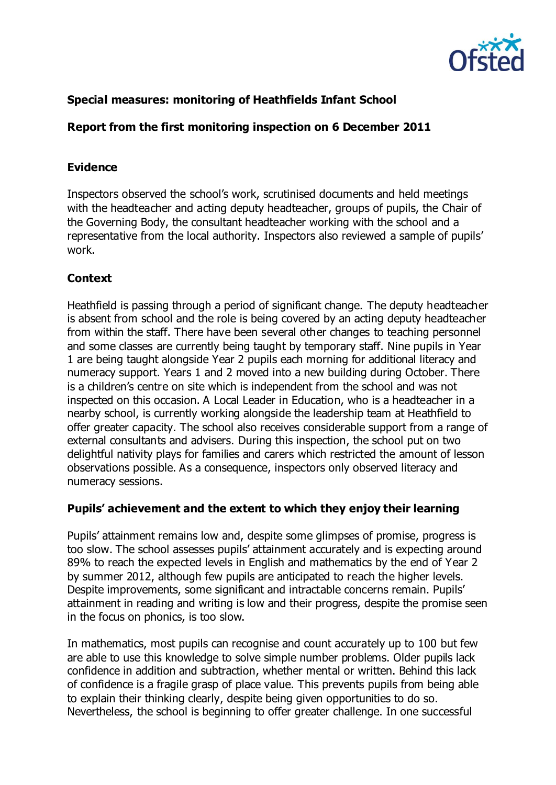

## **Special measures: monitoring of Heathfields Infant School**

### **Report from the first monitoring inspection on 6 December 2011**

### **Evidence**

Inspectors observed the school's work, scrutinised documents and held meetings with the headteacher and acting deputy headteacher, groups of pupils, the Chair of the Governing Body, the consultant headteacher working with the school and a representative from the local authority. Inspectors also reviewed a sample of pupils' work.

# **Context**

Heathfield is passing through a period of significant change. The deputy headteacher is absent from school and the role is being covered by an acting deputy headteacher from within the staff. There have been several other changes to teaching personnel and some classes are currently being taught by temporary staff. Nine pupils in Year 1 are being taught alongside Year 2 pupils each morning for additional literacy and numeracy support. Years 1 and 2 moved into a new building during October. There is a children's centre on site which is independent from the school and was not inspected on this occasion. A Local Leader in Education, who is a headteacher in a nearby school, is currently working alongside the leadership team at Heathfield to offer greater capacity. The school also receives considerable support from a range of external consultants and advisers. During this inspection, the school put on two delightful nativity plays for families and carers which restricted the amount of lesson observations possible. As a consequence, inspectors only observed literacy and numeracy sessions.

### **Pupils' achievement and the extent to which they enjoy their learning**

Pupils' attainment remains low and, despite some glimpses of promise, progress is too slow. The school assesses pupils' attainment accurately and is expecting around 89% to reach the expected levels in English and mathematics by the end of Year 2 by summer 2012, although few pupils are anticipated to reach the higher levels. Despite improvements, some significant and intractable concerns remain. Pupils' attainment in reading and writing is low and their progress, despite the promise seen in the focus on phonics, is too slow.

In mathematics, most pupils can recognise and count accurately up to 100 but few are able to use this knowledge to solve simple number problems. Older pupils lack confidence in addition and subtraction, whether mental or written. Behind this lack of confidence is a fragile grasp of place value. This prevents pupils from being able to explain their thinking clearly, despite being given opportunities to do so. Nevertheless, the school is beginning to offer greater challenge. In one successful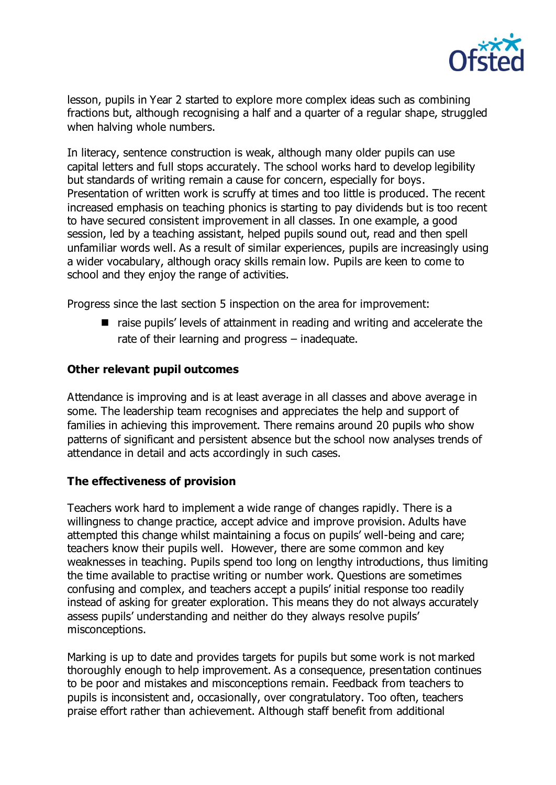

lesson, pupils in Year 2 started to explore more complex ideas such as combining fractions but, although recognising a half and a quarter of a regular shape, struggled when halving whole numbers.

In literacy, sentence construction is weak, although many older pupils can use capital letters and full stops accurately. The school works hard to develop legibility but standards of writing remain a cause for concern, especially for boys. Presentation of written work is scruffy at times and too little is produced. The recent increased emphasis on teaching phonics is starting to pay dividends but is too recent to have secured consistent improvement in all classes. In one example, a good session, led by a teaching assistant, helped pupils sound out, read and then spell unfamiliar words well. As a result of similar experiences, pupils are increasingly using a wider vocabulary, although oracy skills remain low. Pupils are keen to come to school and they enjoy the range of activities.

Progress since the last section 5 inspection on the area for improvement:

■ raise pupils' levels of attainment in reading and writing and accelerate the rate of their learning and progress – inadequate.

### **Other relevant pupil outcomes**

Attendance is improving and is at least average in all classes and above average in some. The leadership team recognises and appreciates the help and support of families in achieving this improvement. There remains around 20 pupils who show patterns of significant and persistent absence but the school now analyses trends of attendance in detail and acts accordingly in such cases.

### **The effectiveness of provision**

Teachers work hard to implement a wide range of changes rapidly. There is a willingness to change practice, accept advice and improve provision. Adults have attempted this change whilst maintaining a focus on pupils' well-being and care; teachers know their pupils well. However, there are some common and key weaknesses in teaching. Pupils spend too long on lengthy introductions, thus limiting the time available to practise writing or number work. Questions are sometimes confusing and complex, and teachers accept a pupils' initial response too readily instead of asking for greater exploration. This means they do not always accurately assess pupils' understanding and neither do they always resolve pupils' misconceptions.

Marking is up to date and provides targets for pupils but some work is not marked thoroughly enough to help improvement. As a consequence, presentation continues to be poor and mistakes and misconceptions remain. Feedback from teachers to pupils is inconsistent and, occasionally, over congratulatory. Too often, teachers praise effort rather than achievement. Although staff benefit from additional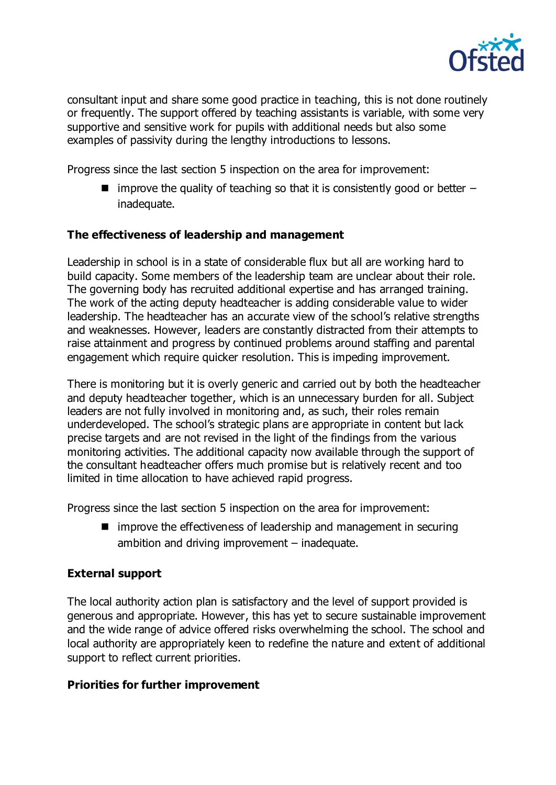

consultant input and share some good practice in teaching, this is not done routinely or frequently. The support offered by teaching assistants is variable, with some very supportive and sensitive work for pupils with additional needs but also some examples of passivity during the lengthy introductions to lessons.

Progress since the last section 5 inspection on the area for improvement:

 $\blacksquare$  improve the quality of teaching so that it is consistently good or better  $\blacksquare$ inadequate.

### **The effectiveness of leadership and management**

Leadership in school is in a state of considerable flux but all are working hard to build capacity. Some members of the leadership team are unclear about their role. The governing body has recruited additional expertise and has arranged training. The work of the acting deputy headteacher is adding considerable value to wider leadership. The headteacher has an accurate view of the school's relative strengths and weaknesses. However, leaders are constantly distracted from their attempts to raise attainment and progress by continued problems around staffing and parental engagement which require quicker resolution. This is impeding improvement.

There is monitoring but it is overly generic and carried out by both the headteacher and deputy headteacher together, which is an unnecessary burden for all. Subject leaders are not fully involved in monitoring and, as such, their roles remain underdeveloped. The school's strategic plans are appropriate in content but lack precise targets and are not revised in the light of the findings from the various monitoring activities. The additional capacity now available through the support of the consultant headteacher offers much promise but is relatively recent and too limited in time allocation to have achieved rapid progress.

Progress since the last section 5 inspection on the area for improvement:

 $\blacksquare$  improve the effectiveness of leadership and management in securing ambition and driving improvement – inadequate.

# **External support**

The local authority action plan is satisfactory and the level of support provided is generous and appropriate. However, this has yet to secure sustainable improvement and the wide range of advice offered risks overwhelming the school. The school and local authority are appropriately keen to redefine the nature and extent of additional support to reflect current priorities.

### **Priorities for further improvement**